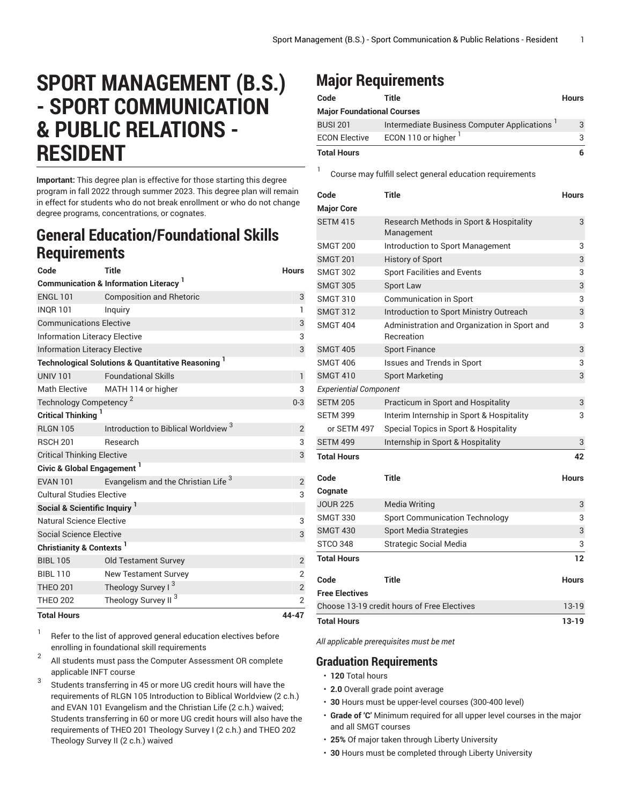## **SPORT MANAGEMENT (B.S.) - SPORT COMMUNICATION & PUBLIC RELATIONS - RESIDENT**

**Important:** This degree plan is effective for those starting this degree program in fall 2022 through summer 2023. This degree plan will remain in effect for students who do not break enrollment or who do not change degree programs, concentrations, or cognates.

## **General Education/Foundational Skills Requirements**

| Code                                     | Title                                                                    | <b>Hours</b>   |
|------------------------------------------|--------------------------------------------------------------------------|----------------|
|                                          | <b>Communication &amp; Information Literacy</b> <sup>1</sup>             |                |
| <b>ENGL 101</b>                          | <b>Composition and Rhetoric</b>                                          | 3              |
| <b>INOR 101</b>                          | Inquiry                                                                  | $\mathbf{1}$   |
| <b>Communications Elective</b>           | 3                                                                        |                |
| <b>Information Literacy Elective</b>     | 3                                                                        |                |
| <b>Information Literacy Elective</b>     | 3                                                                        |                |
|                                          | <b>Technological Solutions &amp; Quantitative Reasoning</b> <sup>1</sup> |                |
| <b>UNIV 101</b>                          | <b>Foundational Skills</b>                                               | $\mathbf{1}$   |
| Math Elective                            | MATH 114 or higher                                                       | 3              |
| Technology Competency <sup>2</sup>       | $0 - 3$                                                                  |                |
| <b>Critical Thinking</b>                 |                                                                          |                |
| <b>RLGN 105</b>                          | Introduction to Biblical Worldview <sup>3</sup>                          | $\overline{2}$ |
| <b>RSCH 201</b>                          | Research                                                                 | 3              |
| <b>Critical Thinking Elective</b>        | 3                                                                        |                |
| Civic & Global Engagement <sup>1</sup>   |                                                                          |                |
| <b>EVAN 101</b>                          | Evangelism and the Christian Life <sup>3</sup>                           | $\overline{c}$ |
| <b>Cultural Studies Elective</b>         |                                                                          |                |
| Social & Scientific Inquiry <sup>1</sup> |                                                                          |                |
| Natural Science Elective                 |                                                                          | 3              |
| <b>Social Science Elective</b>           |                                                                          | 3              |
| Christianity & Contexts <sup>1</sup>     |                                                                          |                |
| <b>BIBL 105</b>                          | <b>Old Testament Survey</b>                                              | $\overline{2}$ |
| <b>BIBL 110</b>                          | <b>New Testament Survey</b>                                              | $\overline{2}$ |
| <b>THEO 201</b>                          | Theology Survey I <sup>3</sup>                                           | $\sqrt{2}$     |
| <b>THEO 202</b>                          | Theology Survey II <sup>3</sup>                                          | $\overline{2}$ |
| <b>Total Hours</b>                       |                                                                          | 44-47          |

1 Refer to the list of approved general [education](https://www.liberty.edu/gened/) electives before enrolling in foundational skill requirements

- 2 All students must pass the [Computer Assessment](https://www.liberty.edu/computerassessment/) OR complete applicable INFT course
- 3 Students transferring in 45 or more UG credit hours will have the requirements of RLGN 105 Introduction to Biblical Worldview (2 c.h.) and EVAN 101 Evangelism and the Christian Life (2 c.h.) waived; Students transferring in 60 or more UG credit hours will also have the requirements of THEO 201 Theology Survey I (2 c.h.) and THEO 202 Theology Survey II (2 c.h.) waived

## **Major Requirements**

| Code                              | Title                                       | <b>Hours</b> |
|-----------------------------------|---------------------------------------------|--------------|
| <b>Major Foundational Courses</b> |                                             |              |
| <b>BUSI 201</b>                   | Intermediate Business Computer Applications | 3            |
| <b>ECON Elective</b>              | ECON 110 or higher <sup>1</sup>             | 3            |
| <b>Total Hours</b>                |                                             | 6            |

1 Course may fulfill select general education [requirements](http://www.liberty.edu/academics/generalstudies/?PID=37563)

| Code                                        | <b>Title</b>                                               | <b>Hours</b> |
|---------------------------------------------|------------------------------------------------------------|--------------|
| <b>Major Core</b>                           |                                                            |              |
| <b>SETM 415</b>                             | Research Methods in Sport & Hospitality<br>Management      | 3            |
| <b>SMGT 200</b>                             | Introduction to Sport Management                           | 3            |
| <b>SMGT 201</b>                             | <b>History of Sport</b>                                    | 3            |
| <b>SMGT 302</b>                             | <b>Sport Facilities and Events</b>                         | 3            |
| <b>SMGT 305</b>                             | Sport Law                                                  | 3            |
| <b>SMGT 310</b>                             | <b>Communication in Sport</b>                              | 3            |
| <b>SMGT 312</b>                             | Introduction to Sport Ministry Outreach                    | 3            |
| <b>SMGT 404</b>                             | Administration and Organization in Sport and<br>Recreation | 3            |
| <b>SMGT 405</b>                             | <b>Sport Finance</b>                                       | 3            |
| <b>SMGT 406</b>                             | <b>Issues and Trends in Sport</b>                          | 3            |
| <b>SMGT 410</b>                             | <b>Sport Marketing</b>                                     | 3            |
| <b>Experiential Component</b>               |                                                            |              |
| <b>SETM 205</b>                             | Practicum in Sport and Hospitality                         | 3            |
| <b>SETM 399</b>                             | Interim Internship in Sport & Hospitality                  | 3            |
| or SETM 497                                 | Special Topics in Sport & Hospitality                      |              |
| <b>SETM 499</b>                             | Internship in Sport & Hospitality                          | 3            |
| <b>Total Hours</b>                          |                                                            | 42           |
| Code                                        | Title                                                      | <b>Hours</b> |
| Cognate                                     |                                                            |              |
| <b>JOUR 225</b>                             | <b>Media Writing</b>                                       | 3            |
| <b>SMGT 330</b>                             | <b>Sport Communication Technology</b>                      | 3            |
| <b>SMGT 430</b>                             | <b>Sport Media Strategies</b>                              | 3            |
| <b>STCO 348</b>                             | <b>Strategic Social Media</b>                              | 3            |
| <b>Total Hours</b>                          |                                                            | 12           |
| Code                                        | <b>Title</b>                                               | <b>Hours</b> |
| <b>Free Electives</b>                       |                                                            |              |
| Choose 13-19 credit hours of Free Electives |                                                            | $13-19$      |
| <b>Total Hours</b>                          |                                                            | 13-19        |

*All applicable prerequisites must be met*

## **Graduation Requirements**

- **120** Total hours
- **2.0** Overall grade point average
- **30** Hours must be upper-level courses (300-400 level)
- **Grade of 'C'** Minimum required for all upper level courses in the major and all SMGT courses
- **25%** Of major taken through Liberty University
- **30** Hours must be completed through Liberty University